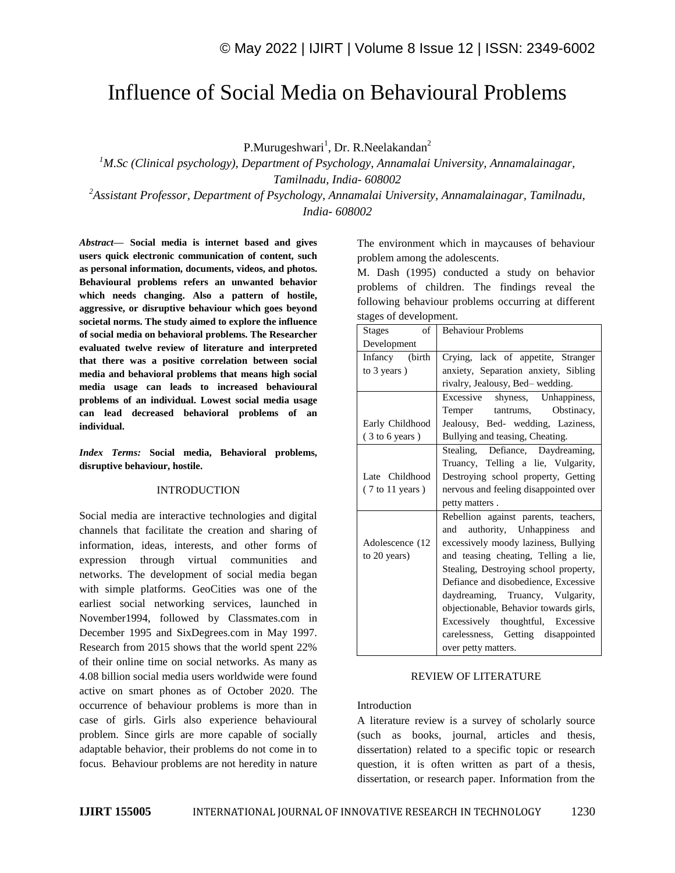# Influence of Social Media on Behavioural Problems

P.Murugeshwari<sup>1</sup>, Dr. R.Neelakandan<sup>2</sup>

*<sup>1</sup>M.Sc (Clinical psychology), Department of Psychology, Annamalai University, Annamalainagar, Tamilnadu, India- 608002*

*<sup>2</sup>Assistant Professor, Department of Psychology, Annamalai University, Annamalainagar, Tamilnadu, India- 608002*

*Abstract—* **Social media is internet based and gives users quick electronic communication of content, such as personal information, documents, videos, and photos. Behavioural problems refers an unwanted behavior which needs changing. Also a pattern of hostile, aggressive, or disruptive behaviour which goes beyond societal norms. The study aimed to explore the influence of social media on behavioral problems. The Researcher evaluated twelve review of literature and interpreted that there was a positive correlation between social media and behavioral problems that means high social media usage can leads to increased behavioural problems of an individual. Lowest social media usage can lead decreased behavioral problems of an individual.**

*Index Terms:* **Social media, Behavioral problems, disruptive behaviour, hostile.** 

### INTRODUCTION

Social media are interactive technologies and digital channels that facilitate the creation and sharing of information, ideas, interests, and other forms of expression through virtual communities and networks. The development of social media began with simple platforms. GeoCities was one of the earliest social networking services, launched in November1994, followed by Classmates.com in December 1995 and SixDegrees.com in May 1997. Research from 2015 shows that the world spent 22% of their online time on social networks. As many as 4.08 billion social media users worldwide were found active on smart phones as of October 2020. The occurrence of behaviour problems is more than in case of girls. Girls also experience behavioural problem. Since girls are more capable of socially adaptable behavior, their problems do not come in to focus. Behaviour problems are not heredity in nature

The environment which in maycauses of behaviour problem among the adolescents.

M. Dash (1995) conducted a study on behavior problems of children. The findings reveal the following behaviour problems occurring at different stages of development.

| of<br><b>Stages</b>                | <b>Behaviour Problems</b>              |
|------------------------------------|----------------------------------------|
| Development                        |                                        |
| Infancy (birth                     | Crying, lack of appetite, Stranger     |
| to 3 years)                        | anxiety, Separation anxiety, Sibling   |
|                                    | rivalry, Jealousy, Bed-wedding.        |
|                                    | Excessive shyness, Unhappiness,        |
|                                    | Obstinacy,<br>tantrums,<br>Temper      |
| Early Childhood                    | Jealousy, Bed- wedding, Laziness,      |
| (3 to 6 years)                     | Bullying and teasing, Cheating.        |
|                                    | Stealing, Defiance, Daydreaming,       |
|                                    | Truancy, Telling a lie, Vulgarity,     |
| Late Childhood                     | Destroying school property, Getting    |
| $(7 \text{ to } 11 \text{ years})$ | nervous and feeling disappointed over  |
|                                    | petty matters.                         |
|                                    | Rebellion against parents, teachers,   |
|                                    | and authority, Unhappiness and         |
| Adolescence (12)                   | excessively moody laziness, Bullying   |
| to 20 years)                       | and teasing cheating, Telling a lie,   |
|                                    | Stealing, Destroying school property,  |
|                                    | Defiance and disobedience, Excessive   |
|                                    | daydreaming, Truancy, Vulgarity,       |
|                                    | objectionable, Behavior towards girls, |
|                                    | Excessively thoughtful, Excessive      |
|                                    | carelessness, Getting disappointed     |
|                                    | over petty matters.                    |

#### REVIEW OF LITERATURE

#### Introduction

A literature review is a survey of scholarly source (such as books, journal, articles and thesis, dissertation) related to a specific topic or research question, it is often written as part of a thesis, dissertation, or research paper. Information from the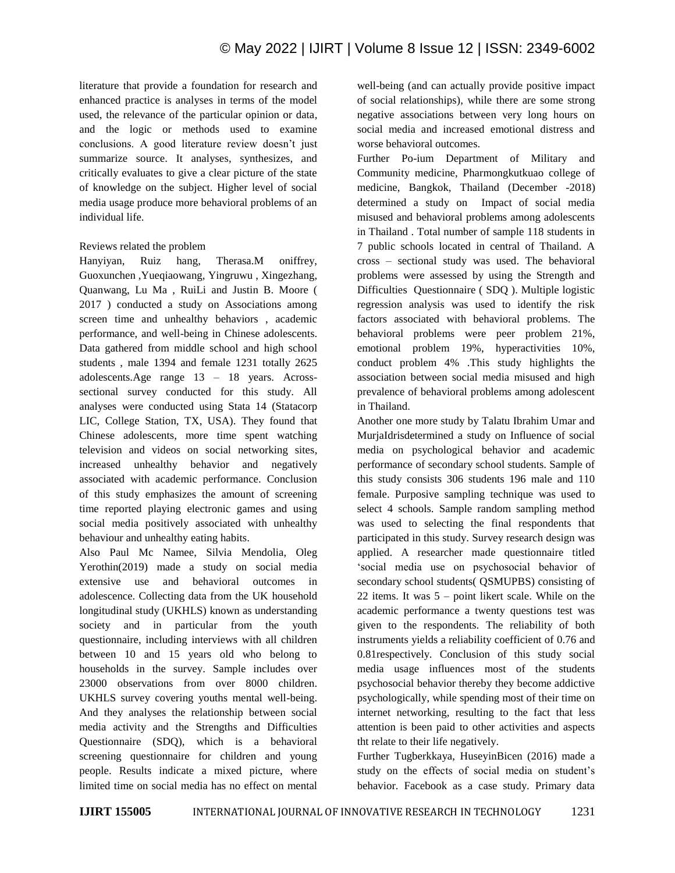literature that provide a foundation for research and enhanced practice is analyses in terms of the model used, the relevance of the particular opinion or data, and the logic or methods used to examine conclusions. A good literature review doesn't just summarize source. It analyses, synthesizes, and critically evaluates to give a clear picture of the state of knowledge on the subject. Higher level of social media usage produce more behavioral problems of an individual life.

## Reviews related the problem

Hanyiyan, Ruiz hang, Therasa.M oniffrey, Guoxunchen ,Yueqiaowang, Yingruwu , Xingezhang, Quanwang, Lu Ma , RuiLi and Justin B. Moore ( 2017 ) conducted a study on Associations among screen time and unhealthy behaviors , academic performance, and well-being in Chinese adolescents. Data gathered from middle school and high school students , male 1394 and female 1231 totally 2625 adolescents.Age range 13 – 18 years. Acrosssectional survey conducted for this study. All analyses were conducted using Stata 14 (Statacorp LIC, College Station, TX, USA). They found that Chinese adolescents, more time spent watching television and videos on social networking sites, increased unhealthy behavior and negatively associated with academic performance. Conclusion of this study emphasizes the amount of screening time reported playing electronic games and using social media positively associated with unhealthy behaviour and unhealthy eating habits.

Also Paul Mc Namee, Silvia Mendolia, Oleg Yerothin(2019) made a study on social media extensive use and behavioral outcomes in adolescence. Collecting data from the UK household longitudinal study (UKHLS) known as understanding society and in particular from the youth questionnaire, including interviews with all children between 10 and 15 years old who belong to households in the survey. Sample includes over 23000 observations from over 8000 children. UKHLS survey covering youths mental well-being. And they analyses the relationship between social media activity and the Strengths and Difficulties Questionnaire (SDQ), which is a behavioral screening questionnaire for children and young people. Results indicate a mixed picture, where limited time on social media has no effect on mental

well-being (and can actually provide positive impact of social relationships), while there are some strong negative associations between very long hours on social media and increased emotional distress and worse behavioral outcomes.

Further Po-ium Department of Military and Community medicine, Pharmongkutkuao college of medicine, Bangkok, Thailand (December -2018) determined a study on Impact of social media misused and behavioral problems among adolescents in Thailand . Total number of sample 118 students in 7 public schools located in central of Thailand. A cross – sectional study was used. The behavioral problems were assessed by using the Strength and Difficulties Questionnaire ( SDQ ). Multiple logistic regression analysis was used to identify the risk factors associated with behavioral problems. The behavioral problems were peer problem 21%, emotional problem 19%, hyperactivities 10%, conduct problem 4% .This study highlights the association between social media misused and high prevalence of behavioral problems among adolescent in Thailand.

Another one more study by Talatu Ibrahim Umar and MurjaIdrisdetermined a study on Influence of social media on psychological behavior and academic performance of secondary school students. Sample of this study consists 306 students 196 male and 110 female. Purposive sampling technique was used to select 4 schools. Sample random sampling method was used to selecting the final respondents that participated in this study. Survey research design was applied. A researcher made questionnaire titled 'social media use on psychosocial behavior of secondary school students( QSMUPBS) consisting of 22 items. It was 5 – point likert scale. While on the academic performance a twenty questions test was given to the respondents. The reliability of both instruments yields a reliability coefficient of 0.76 and 0.81respectively. Conclusion of this study social media usage influences most of the students psychosocial behavior thereby they become addictive psychologically, while spending most of their time on internet networking, resulting to the fact that less attention is been paid to other activities and aspects tht relate to their life negatively.

Further Tugberkkaya, HuseyinBicen (2016) made a study on the effects of social media on student's behavior. Facebook as a case study. Primary data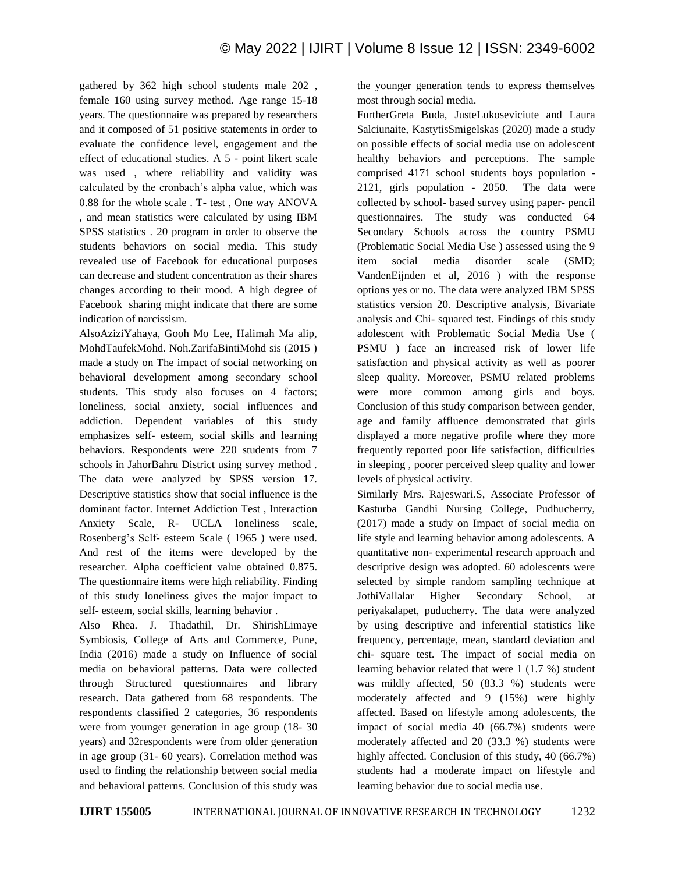gathered by 362 high school students male 202 , female 160 using survey method. Age range 15-18 years. The questionnaire was prepared by researchers and it composed of 51 positive statements in order to evaluate the confidence level, engagement and the effect of educational studies. A 5 - point likert scale was used , where reliability and validity was calculated by the cronbach's alpha value, which was 0.88 for the whole scale . T- test , One way ANOVA , and mean statistics were calculated by using IBM SPSS statistics . 20 program in order to observe the students behaviors on social media. This study revealed use of Facebook for educational purposes can decrease and student concentration as their shares changes according to their mood. A high degree of Facebook sharing might indicate that there are some indication of narcissism.

AlsoAziziYahaya, Gooh Mo Lee, Halimah Ma alip, MohdTaufekMohd. Noh.ZarifaBintiMohd sis (2015 ) made a study on The impact of social networking on behavioral development among secondary school students. This study also focuses on 4 factors; loneliness, social anxiety, social influences and addiction. Dependent variables of this study emphasizes self- esteem, social skills and learning behaviors. Respondents were 220 students from 7 schools in JahorBahru District using survey method . The data were analyzed by SPSS version 17. Descriptive statistics show that social influence is the dominant factor. Internet Addiction Test , Interaction Anxiety Scale, R- UCLA loneliness scale, Rosenberg's Self- esteem Scale ( 1965 ) were used. And rest of the items were developed by the researcher. Alpha coefficient value obtained 0.875. The questionnaire items were high reliability. Finding of this study loneliness gives the major impact to self- esteem, social skills, learning behavior .

Also Rhea. J. Thadathil, Dr. ShirishLimaye Symbiosis, College of Arts and Commerce, Pune, India (2016) made a study on Influence of social media on behavioral patterns. Data were collected through Structured questionnaires and library research. Data gathered from 68 respondents. The respondents classified 2 categories, 36 respondents were from younger generation in age group (18- 30 years) and 32respondents were from older generation in age group (31- 60 years). Correlation method was used to finding the relationship between social media and behavioral patterns. Conclusion of this study was

the younger generation tends to express themselves most through social media.

FurtherGreta Buda, JusteLukoseviciute and Laura Salciunaite, KastytisSmigelskas (2020) made a study on possible effects of social media use on adolescent healthy behaviors and perceptions. The sample comprised 4171 school students boys population - 2121, girls population - 2050. The data were collected by school- based survey using paper- pencil questionnaires. The study was conducted 64 Secondary Schools across the country PSMU (Problematic Social Media Use ) assessed using the 9 item social media disorder scale (SMD; VandenEijnden et al, 2016 ) with the response options yes or no. The data were analyzed IBM SPSS statistics version 20. Descriptive analysis, Bivariate analysis and Chi- squared test. Findings of this study adolescent with Problematic Social Media Use ( PSMU ) face an increased risk of lower life satisfaction and physical activity as well as poorer sleep quality. Moreover, PSMU related problems were more common among girls and boys. Conclusion of this study comparison between gender, age and family affluence demonstrated that girls displayed a more negative profile where they more frequently reported poor life satisfaction, difficulties in sleeping , poorer perceived sleep quality and lower levels of physical activity.

Similarly Mrs. Rajeswari.S, Associate Professor of Kasturba Gandhi Nursing College, Pudhucherry, (2017) made a study on Impact of social media on life style and learning behavior among adolescents. A quantitative non- experimental research approach and descriptive design was adopted. 60 adolescents were selected by simple random sampling technique at JothiVallalar Higher Secondary School, at periyakalapet, puducherry. The data were analyzed by using descriptive and inferential statistics like frequency, percentage, mean, standard deviation and chi- square test. The impact of social media on learning behavior related that were 1 (1.7 %) student was mildly affected, 50 (83.3 %) students were moderately affected and 9 (15%) were highly affected. Based on lifestyle among adolescents, the impact of social media 40 (66.7%) students were moderately affected and 20 (33.3 %) students were highly affected. Conclusion of this study, 40 (66.7%) students had a moderate impact on lifestyle and learning behavior due to social media use.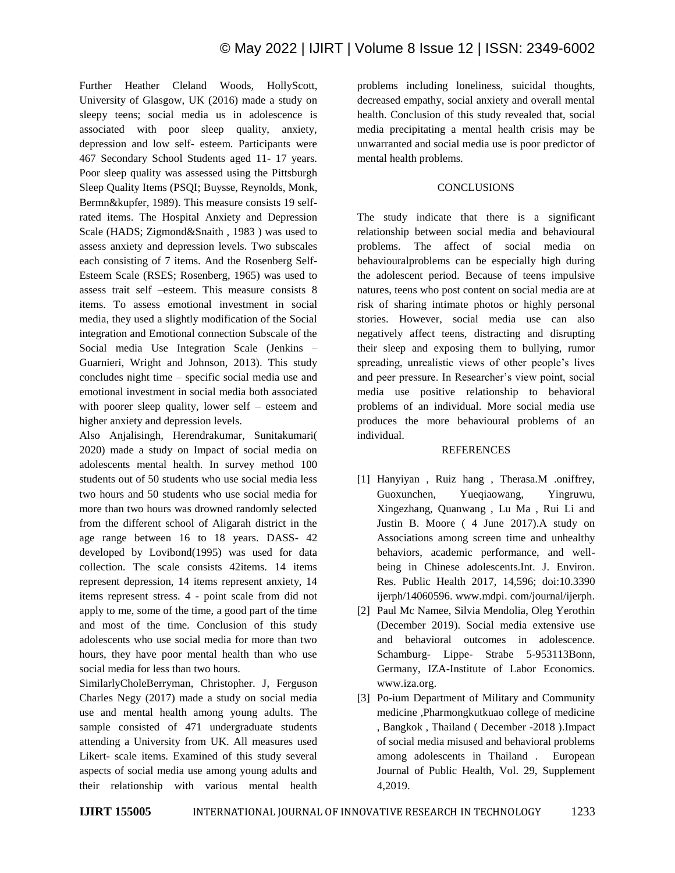Further Heather Cleland Woods, HollyScott, University of Glasgow, UK (2016) made a study on sleepy teens; social media us in adolescence is associated with poor sleep quality, anxiety, depression and low self- esteem. Participants were 467 Secondary School Students aged 11- 17 years. Poor sleep quality was assessed using the Pittsburgh Sleep Quality Items (PSQI; Buysse, Reynolds, Monk, Bermn&kupfer, 1989). This measure consists 19 selfrated items. The Hospital Anxiety and Depression Scale (HADS; Zigmond&Snaith , 1983 ) was used to assess anxiety and depression levels. Two subscales each consisting of 7 items. And the Rosenberg Self-Esteem Scale (RSES; Rosenberg, 1965) was used to assess trait self –esteem. This measure consists 8 items. To assess emotional investment in social media, they used a slightly modification of the Social integration and Emotional connection Subscale of the Social media Use Integration Scale (Jenkins – Guarnieri, Wright and Johnson, 2013). This study concludes night time – specific social media use and emotional investment in social media both associated with poorer sleep quality, lower self – esteem and higher anxiety and depression levels.

Also Anjalisingh, Herendrakumar, Sunitakumari( 2020) made a study on Impact of social media on adolescents mental health. In survey method 100 students out of 50 students who use social media less two hours and 50 students who use social media for more than two hours was drowned randomly selected from the different school of Aligarah district in the age range between 16 to 18 years. DASS- 42 developed by Lovibond(1995) was used for data collection. The scale consists 42items. 14 items represent depression, 14 items represent anxiety, 14 items represent stress. 4 - point scale from did not apply to me, some of the time, a good part of the time and most of the time. Conclusion of this study adolescents who use social media for more than two hours, they have poor mental health than who use social media for less than two hours.

SimilarlyCholeBerryman, Christopher. J, Ferguson Charles Negy (2017) made a study on social media use and mental health among young adults. The sample consisted of 471 undergraduate students attending a University from UK. All measures used Likert- scale items. Examined of this study several aspects of social media use among young adults and their relationship with various mental health problems including loneliness, suicidal thoughts, decreased empathy, social anxiety and overall mental health. Conclusion of this study revealed that, social media precipitating a mental health crisis may be unwarranted and social media use is poor predictor of mental health problems.

## **CONCLUSIONS**

The study indicate that there is a significant relationship between social media and behavioural problems. The affect of social media on behaviouralproblems can be especially high during the adolescent period. Because of teens impulsive natures, teens who post content on social media are at risk of sharing intimate photos or highly personal stories. However, social media use can also negatively affect teens, distracting and disrupting their sleep and exposing them to bullying, rumor spreading, unrealistic views of other people's lives and peer pressure. In Researcher's view point, social media use positive relationship to behavioral problems of an individual. More social media use produces the more behavioural problems of an individual.

## REFERENCES

- [1] Hanyiyan, Ruiz hang, Therasa.M .oniffrey, Guoxunchen, Yueqiaowang, Yingruwu, Xingezhang, Quanwang , Lu Ma , Rui Li and Justin B. Moore ( 4 June 2017).A study on Associations among screen time and unhealthy behaviors, academic performance, and wellbeing in Chinese adolescents.Int. J. Environ. Res. Public Health 2017, 14,596; doi:10.3390 ijerph/14060596. www.mdpi. com/journal/ijerph.
- [2] Paul Mc Namee, Silvia Mendolia, Oleg Yerothin (December 2019). Social media extensive use and behavioral outcomes in adolescence. Schamburg- Lippe- Strabe 5-953113Bonn, Germany, IZA-Institute of Labor Economics. www.iza.org.
- [3] Po-ium Department of Military and Community medicine ,Pharmongkutkuao college of medicine , Bangkok , Thailand ( December -2018 ).Impact of social media misused and behavioral problems among adolescents in Thailand . European Journal of Public Health, Vol. 29, Supplement 4,2019.